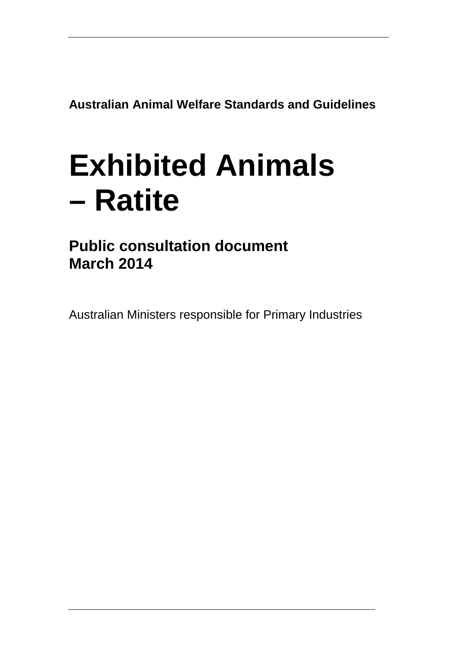**Australian Animal Welfare Standards and Guidelines**

# **Exhibited Animals – Ratite**

**Public consultation document March 2014**

Australian Ministers responsible for Primary Industries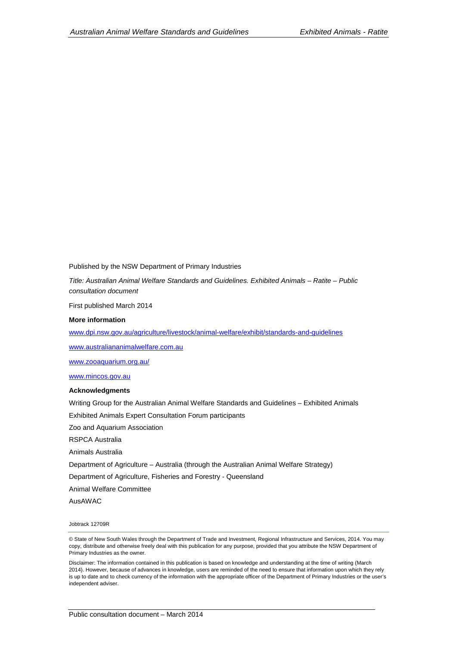Published by the NSW Department of Primary Industries

*Title: Australian Animal Welfare Standards and Guidelines. Exhibited Animals – Ratite – Public consultation document*

First published March 2014

#### **More information**

[www.dpi.nsw.gov.au/agriculture/livestock/animal-welfare/exhibit/standards-and-guidelines](http://www.dpi.nsw.gov.au/agriculture/livestock/animal-welfare/exhibit/standards-and-guidelines) 

[www.australiananimalwelfare.com.au](http://www.australiananimalwelfare.com.au/)

[www.zooaquarium.org.au/](http://www.zooaquarium.org.au/)

[www.mincos.gov.au](http://www.mincos.gov.au/)

#### **Acknowledgments**

Writing Group for the Australian Animal Welfare Standards and Guidelines – Exhibited Animals

Exhibited Animals Expert Consultation Forum participants

Zoo and Aquarium Association

RSPCA Australia

Animals Australia

Department of Agriculture – Australia (through the Australian Animal Welfare Strategy)

Department of Agriculture, Fisheries and Forestry - Queensland

Animal Welfare Committee

AusAWAC

Jobtrack 12709R

© State of New South Wales through the Department of Trade and Investment, Regional Infrastructure and Services, 2014. You may copy, distribute and otherwise freely deal with this publication for any purpose, provided that you attribute the NSW Department of Primary Industries as the owner.

Disclaimer: The information contained in this publication is based on knowledge and understanding at the time of writing (March 2014). However, because of advances in knowledge, users are reminded of the need to ensure that information upon which they rely is up to date and to check currency of the information with the appropriate officer of the Department of Primary Industries or the user's independent adviser.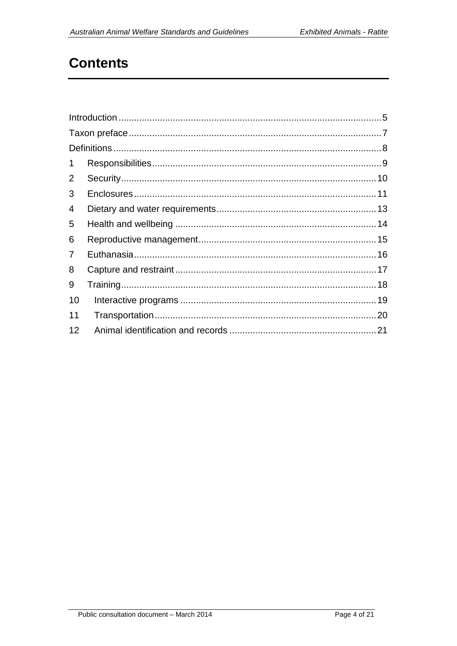# **Contents**

| $\mathbf 1$    |  |  |
|----------------|--|--|
| 2              |  |  |
| 3              |  |  |
| 4              |  |  |
| 5              |  |  |
| 6              |  |  |
| $\overline{7}$ |  |  |
| 8              |  |  |
| 9              |  |  |
| 10             |  |  |
| 11             |  |  |
| 12             |  |  |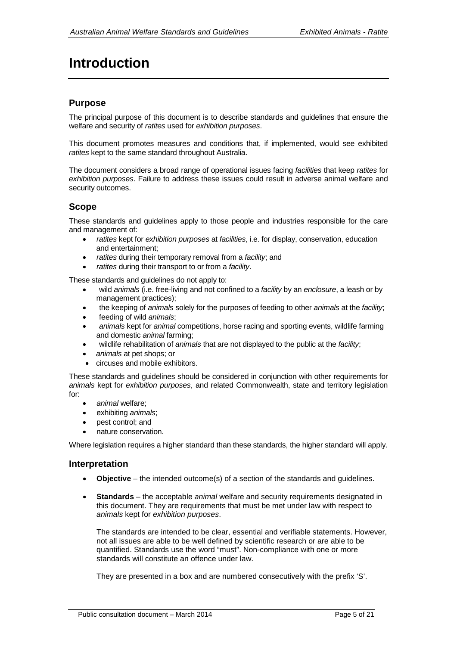# <span id="page-4-0"></span>**Introduction**

### **Purpose**

The principal purpose of this document is to describe standards and guidelines that ensure the welfare and security of *ratites* used for *exhibition purposes*.

This document promotes measures and conditions that, if implemented, would see exhibited *ratites* kept to the same standard throughout Australia.

The document considers a broad range of operational issues facing *facilities* that keep *ratites* for *exhibition purposes*. Failure to address these issues could result in adverse animal welfare and security outcomes.

#### **Scope**

These standards and guidelines apply to those people and industries responsible for the care and management of:

- *ratites* kept for *exhibition purposes* at *facilities*, i.e. for display, conservation, education and entertainment;
- *ratites* during their temporary removal from a *facility*; and
- *ratites* during their transport to or from a *facility*.

These standards and guidelines do not apply to:

- wild *animals* (i.e. free-living and not confined to a *facility* by an *enclosure*, a leash or by management practices);
- the keeping of *animals* solely for the purposes of feeding to other *animals* at the *facility*;
- feeding of wild *animals*;
- *animals* kept for *animal* competitions, horse racing and sporting events, wildlife farming and domestic *animal* farming;
- wildlife rehabilitation of *animals* that are not displayed to the public at the *facility*;
- *animals* at pet shops; or
- circuses and mobile exhibitors.

These standards and guidelines should be considered in conjunction with other requirements for *animals* kept for *exhibition purposes*, and related Commonwealth, state and territory legislation for:

- *animal* welfare;
- exhibiting *animals*;
- pest control; and
- nature conservation.

Where legislation requires a higher standard than these standards, the higher standard will apply.

#### **Interpretation**

- **Objective** the intended outcome(s) of a section of the standards and guidelines.
- **Standards** the acceptable *animal* welfare and security requirements designated in this document. They are requirements that must be met under law with respect to *animals* kept for *exhibition purposes*.

The standards are intended to be clear, essential and verifiable statements. However, not all issues are able to be well defined by scientific research or are able to be quantified. Standards use the word "must". Non-compliance with one or more standards will constitute an offence under law.

They are presented in a box and are numbered consecutively with the prefix 'S'.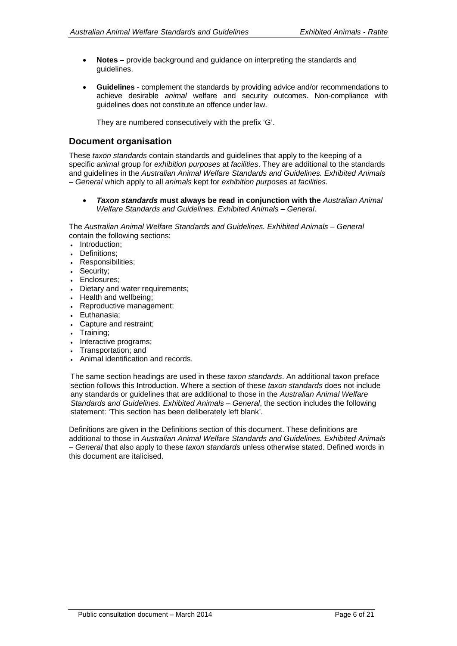- **Notes –** provide background and guidance on interpreting the standards and guidelines.
- **Guidelines** complement the standards by providing advice and/or recommendations to achieve desirable *animal* welfare and security outcomes. Non-compliance with guidelines does not constitute an offence under law.

They are numbered consecutively with the prefix 'G'.

### **Document organisation**

These *taxon standards* contain standards and guidelines that apply to the keeping of a specific *animal* group for *exhibition purposes* at *facilities*. They are additional to the standards and guidelines in the *Australian Animal Welfare Standards and Guidelines. Exhibited Animals – General* which apply to all *animals* kept for *exhibition purposes* at *facilities*.

• *Taxon standards* **must always be read in conjunction with the** *Australian Animal Welfare Standards and Guidelines. Exhibited Animals – General*.

The *Australian Animal Welfare Standards and Guidelines. Exhibited Animals – General* contain the following sections:

- Introduction;
- Definitions;
- Responsibilities;
- Security;
- Enclosures;
- Dietary and water requirements;
- Health and wellbeing;
- Reproductive management;
- Euthanasia;
- Capture and restraint;
- Training;
- Interactive programs;
- Transportation; and
- Animal identification and records.

The same section headings are used in these *taxon standards*. An additional taxon preface section follows this Introduction. Where a section of these *taxon standards* does not include any standards or guidelines that are additional to those in the *Australian Animal Welfare Standards and Guidelines. Exhibited Animals – General*, the section includes the following statement: 'This section has been deliberately left blank'.

Definitions are given in the Definitions section of this document. These definitions are additional to those in *Australian Animal Welfare Standards and Guidelines. Exhibited Animals – General* that also apply to these *taxon standards* unless otherwise stated. Defined words in this document are italicised.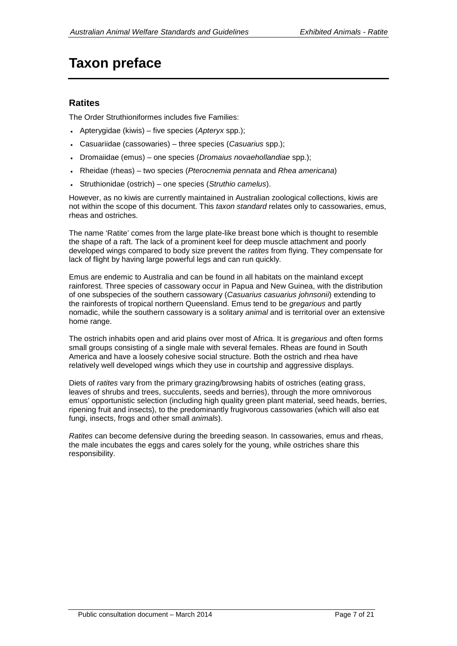# <span id="page-6-0"></span>**Taxon preface**

### **Ratites**

The Order Struthioniformes includes five Families:

- Apterygidae (kiwis) five species (*Apteryx* spp.);
- Casuariidae (cassowaries) three species (*Casuarius* spp.);
- Dromaiidae (emus) one species (*Dromaius novaehollandiae* spp.);
- Rheidae (rheas) two species (*Pterocnemia pennata* and *Rhea americana*)
- Struthionidae (ostrich) one species (*Struthio camelus*).

However, as no kiwis are currently maintained in Australian zoological collections, kiwis are not within the scope of this document. This *taxon standard* relates only to cassowaries, emus, rheas and ostriches.

The name 'Ratite' comes from the large plate-like breast bone which is thought to resemble the shape of a raft. The lack of a prominent keel for deep muscle attachment and poorly developed wings compared to body size prevent the *ratites* from flying. They compensate for lack of flight by having large powerful legs and can run quickly.

Emus are endemic to Australia and can be found in all habitats on the mainland except rainforest. Three species of cassowary occur in Papua and New Guinea, with the distribution of one subspecies of the southern cassowary (*Casuarius casuarius johnsonii*) extending to the rainforests of tropical northern Queensland. Emus tend to be *gregarious* and partly nomadic, while the southern cassowary is a solitary *animal* and is territorial over an extensive home range.

The ostrich inhabits open and arid plains over most of Africa. It is *gregarious* and often forms small groups consisting of a single male with several females. Rheas are found in South America and have a loosely cohesive social structure. Both the ostrich and rhea have relatively well developed wings which they use in courtship and aggressive displays.

Diets of *ratites* vary from the primary grazing/browsing habits of ostriches (eating grass, leaves of shrubs and trees, succulents, seeds and berries), through the more omnivorous emus' opportunistic selection (including high quality green plant material, seed heads, berries, ripening fruit and insects), to the predominantly frugivorous cassowaries (which will also eat fungi, insects, frogs and other small *animals*).

*Ratites* can become defensive during the breeding season. In cassowaries, emus and rheas, the male incubates the eggs and cares solely for the young, while ostriches share this responsibility.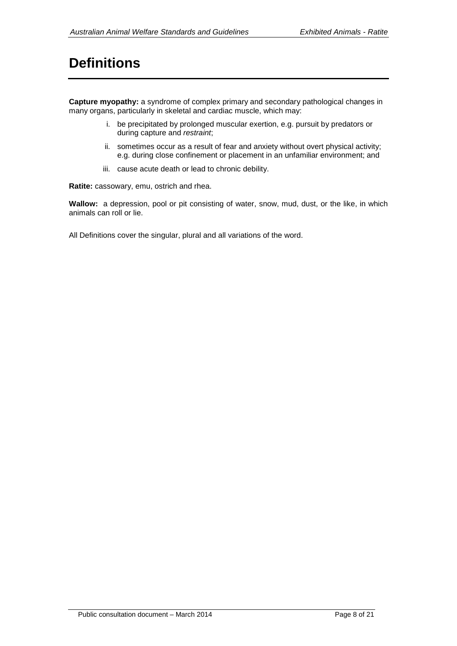# <span id="page-7-0"></span>**Definitions**

**Capture myopathy:** a syndrome of complex primary and secondary pathological changes in many organs, particularly in skeletal and cardiac muscle, which may:

- i. be precipitated by prolonged muscular exertion, e.g. pursuit by predators or during capture and *restraint*;
- ii. sometimes occur as a result of fear and anxiety without overt physical activity; e.g. during close confinement or placement in an unfamiliar environment; and
- iii. cause acute death or lead to chronic debility.

**Ratite:** cassowary, emu, ostrich and rhea.

**Wallow:** a depression, pool or pit consisting of water, snow, mud, dust, or the like, in which animals can roll or lie.

All Definitions cover the singular, plural and all variations of the word.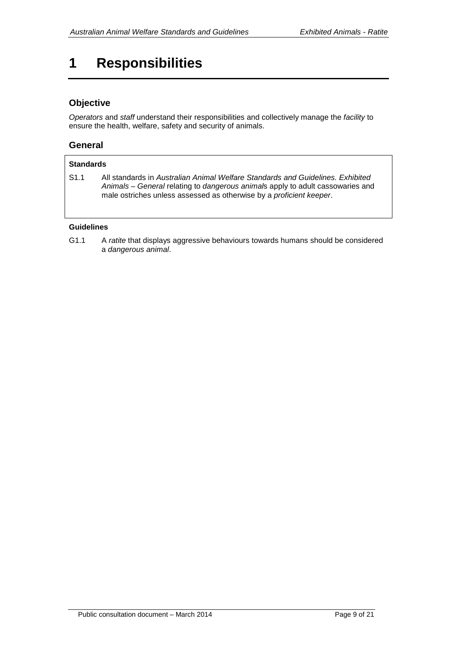# <span id="page-8-0"></span>**1 Responsibilities**

### **Objective**

*Operators* and *staff* understand their responsibilities and collectively manage the *facility* to ensure the health, welfare, safety and security of animals.

### **General**

#### **Standards** S1.1 All standards in *Australian Animal Welfare Standards and Guidelines. Exhibited Animals – General* relating to *dangerous animal*s apply to adult cassowaries and male ostriches unless assessed as otherwise by a *proficient keeper*.

#### **Guidelines**

G1.1 A *ratite* that displays aggressive behaviours towards humans should be considered a *dangerous animal*.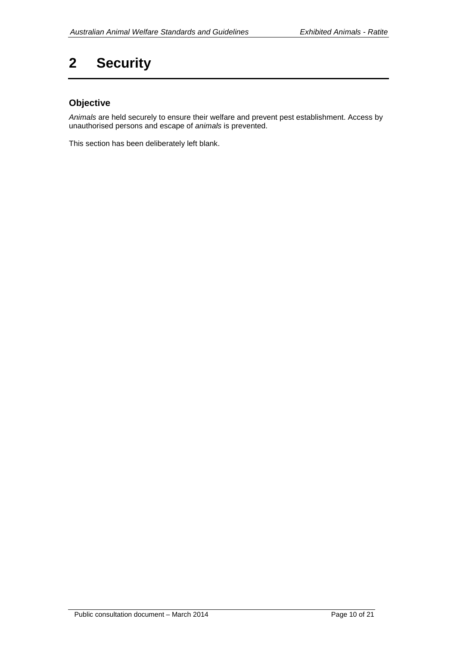# <span id="page-9-0"></span>**2 Security**

# **Objective**

*Animals* are held securely to ensure their welfare and prevent pest establishment. Access by unauthorised persons and escape of *animals* is prevented.

This section has been deliberately left blank.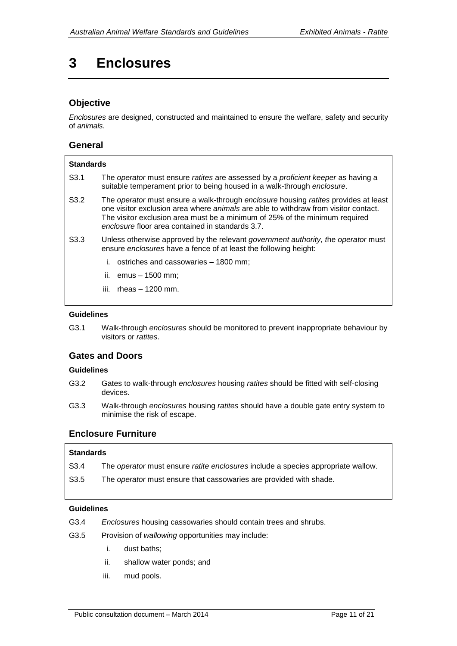# <span id="page-10-0"></span>**3 Enclosures**

### **Objective**

*Enclosures* are designed, constructed and maintained to ensure the welfare, safety and security of *animals*.

#### **General**

| <b>Standards</b> |                                                                                                                                                                                                                                                                                                                      |  |
|------------------|----------------------------------------------------------------------------------------------------------------------------------------------------------------------------------------------------------------------------------------------------------------------------------------------------------------------|--|
| S <sub>3.1</sub> | The <i>operator</i> must ensure <i>ratites</i> are assessed by a <i>proficient keeper</i> as having a<br>suitable temperament prior to being housed in a walk-through enclosure.                                                                                                                                     |  |
| S <sub>3.2</sub> | The operator must ensure a walk-through enclosure housing ratites provides at least<br>one visitor exclusion area where <i>animals</i> are able to withdraw from visitor contact.<br>The visitor exclusion area must be a minimum of 25% of the minimum required<br>enclosure floor area contained in standards 3.7. |  |
| S <sub>3.3</sub> | Unless otherwise approved by the relevant government authority, the operator must<br>ensure enclosures have a fence of at least the following height:                                                                                                                                                                |  |
|                  | i. ostriches and cassowaries $-1800$ mm;                                                                                                                                                                                                                                                                             |  |
|                  | ii. $emus - 1500$ mm;                                                                                                                                                                                                                                                                                                |  |
|                  | rheas $-1200$ mm.<br>iii.                                                                                                                                                                                                                                                                                            |  |

#### **Guidelines**

G3.1 Walk-through *enclosures* should be monitored to prevent inappropriate behaviour by visitors or *ratites*.

### **Gates and Doors**

#### **Guidelines**

- G3.2 Gates to walk-through *enclosures* housing *ratites* should be fitted with self-closing devices.
- G3.3 Walk-through *enclosures* housing *ratites* should have a double gate entry system to minimise the risk of escape.

### **Enclosure Furniture**

#### **Standards**

- S3.4 The *operator* must ensure *ratite enclosures* include a species appropriate wallow.
- S3.5 The *operator* must ensure that cassowaries are provided with shade.

#### **Guidelines**

- G3.4 *Enclosures* housing cassowaries should contain trees and shrubs.
- G3.5 Provision of *wallowing* opportunities may include:
	- i. dust baths;
	- ii. shallow water ponds; and
	- iii. mud pools.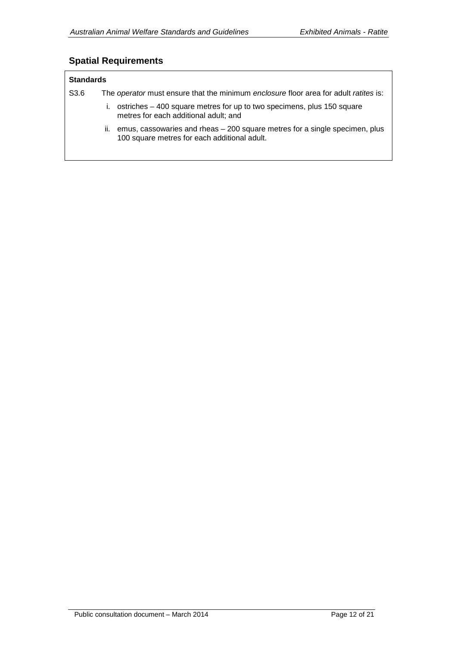### **Spatial Requirements**

#### **Standards**

S3.6 The *operator* must ensure that the minimum *enclosure* floor area for adult *ratites* is:

- i. ostriches 400 square metres for up to two specimens, plus 150 square metres for each additional adult; and
- ii. emus, cassowaries and rheas 200 square metres for a single specimen, plus 100 square metres for each additional adult.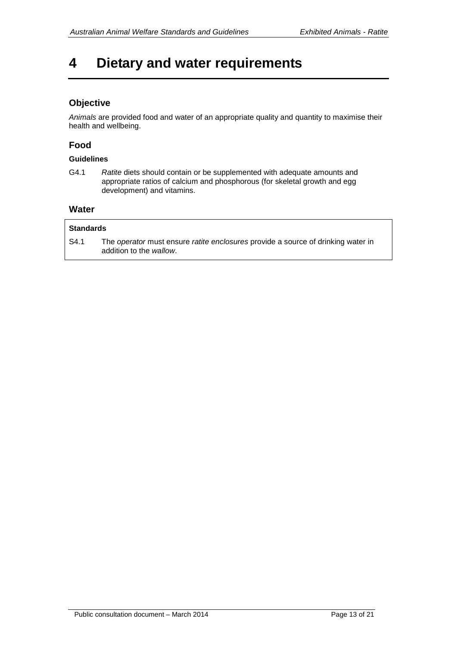# <span id="page-12-0"></span>**4 Dietary and water requirements**

### **Objective**

*Animals* are provided food and water of an appropriate quality and quantity to maximise their health and wellbeing.

#### **Food**

#### **Guidelines**

G4.1 *Ratite* diets should contain or be supplemented with adequate amounts and appropriate ratios of calcium and phosphorous (for skeletal growth and egg development) and vitamins.

#### **Water**

#### **Standards**

S4.1 The *operator* must ensure *ratite enclosures* provide a source of drinking water in addition to the *wallow*.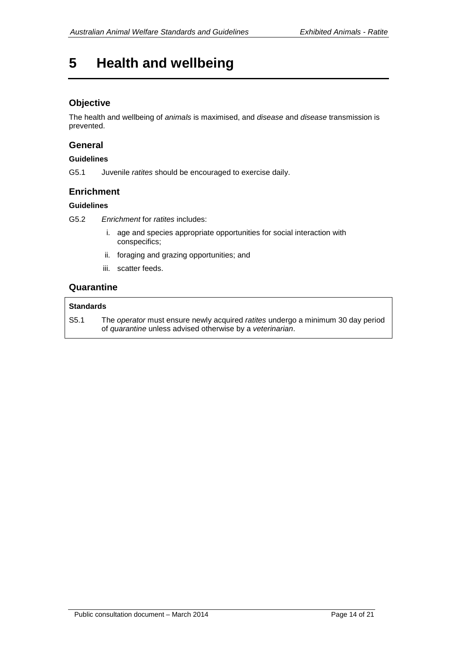# <span id="page-13-0"></span>**5 Health and wellbeing**

### **Objective**

The health and wellbeing of *animals* is maximised, and *disease* and *disease* transmission is prevented.

#### **General**

#### **Guidelines**

G5.1 Juvenile *ratites* should be encouraged to exercise daily.

#### **Enrichment**

#### **Guidelines**

G5.2 *Enrichment* for *ratites* includes:

- i. age and species appropriate opportunities for social interaction with conspecifics;
- ii. foraging and grazing opportunities; and
- iii. scatter feeds.

#### **Quarantine**

#### **Standards**

S5.1 The *operator* must ensure newly acquired *ratites* undergo a minimum 30 day period of *quarantine* unless advised otherwise by a *veterinarian*.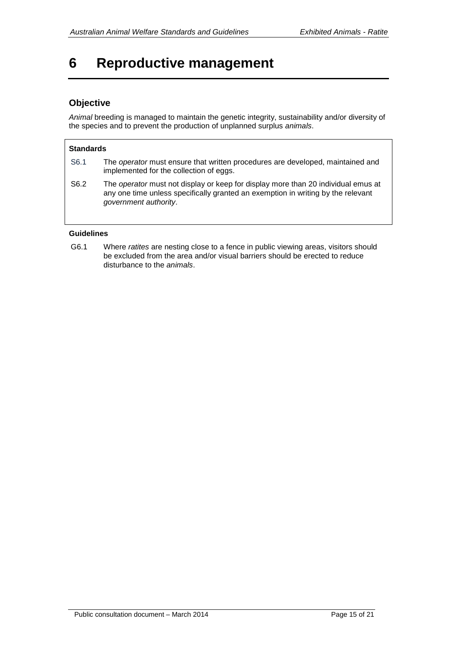# <span id="page-14-0"></span>**6 Reproductive management**

### **Objective**

*Animal* breeding is managed to maintain the genetic integrity, sustainability and/or diversity of the species and to prevent the production of unplanned surplus *animals*.

#### **Standards**

| S6.1 | The operator must ensure that written procedures are developed, maintained and |
|------|--------------------------------------------------------------------------------|
|      | implemented for the collection of eggs.                                        |

S6.2 The *operator* must not display or keep for display more than 20 individual emus at any one time unless specifically granted an exemption in writing by the relevant *government authority*.

#### **Guidelines**

G6.1 Where *ratites* are nesting close to a fence in public viewing areas, visitors should be excluded from the area and/or visual barriers should be erected to reduce disturbance to the *animals*.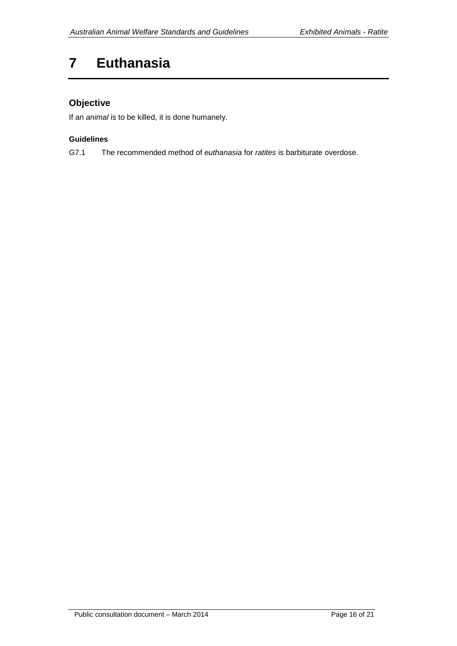# <span id="page-15-0"></span>**7 Euthanasia**

# **Objective**

If an *animal* is to be killed, it is done humanely.

#### **Guidelines**

G7.1 The recommended method of *euthanasia* for *ratites* is barbiturate overdose.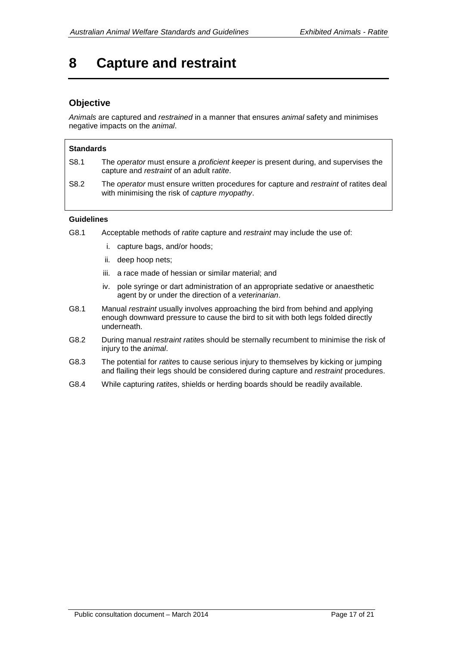# <span id="page-16-0"></span>**8 Capture and restraint**

### **Objective**

*Animals* are captured and *restrained* in a manner that ensures *animal* safety and minimises negative impacts on the *animal*.

#### **Standards**

- S8.1 The *operator* must ensure a *proficient keeper* is present during, and supervises the capture and *restraint* of an adult r*atite*.
- S8.2 The *operator* must ensure written procedures for capture and *restraint* of ratites deal with minimising the risk of *capture myopathy*.

#### **Guidelines**

- G8.1 Acceptable methods of *ratite* capture and *restraint* may include the use of:
	- i. capture bags, and/or hoods;
	- ii. deep hoop nets;
	- iii. a race made of hessian or similar material; and
	- iv. pole syringe or dart administration of an appropriate sedative or anaesthetic agent by or under the direction of a *veterinarian*.
- G8.1 Manual *restraint* usually involves approaching the bird from behind and applying enough downward pressure to cause the bird to sit with both legs folded directly underneath.
- G8.2 During manual *restraint ratite*s should be sternally recumbent to minimise the risk of injury to the *animal*.
- G8.3 The potential for *ratite*s to cause serious injury to themselves by kicking or jumping and flailing their legs should be considered during capture and *restraint* procedures.
- G8.4 While capturing *ratite*s, shields or herding boards should be readily available.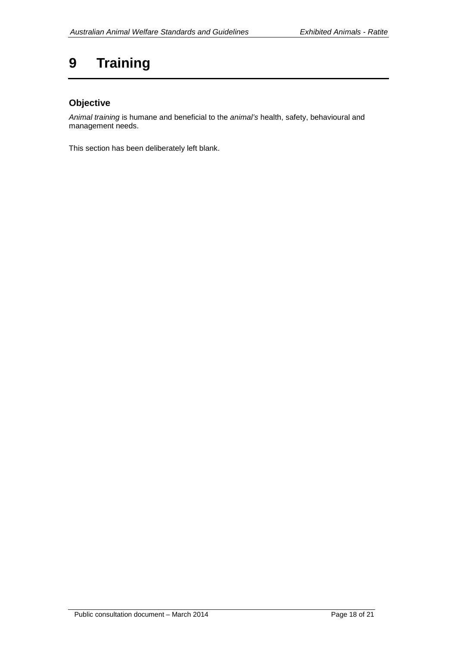# <span id="page-17-0"></span>**9 Training**

# **Objective**

*Animal training* is humane and beneficial to the *animal's* health, safety, behavioural and management needs.

This section has been deliberately left blank.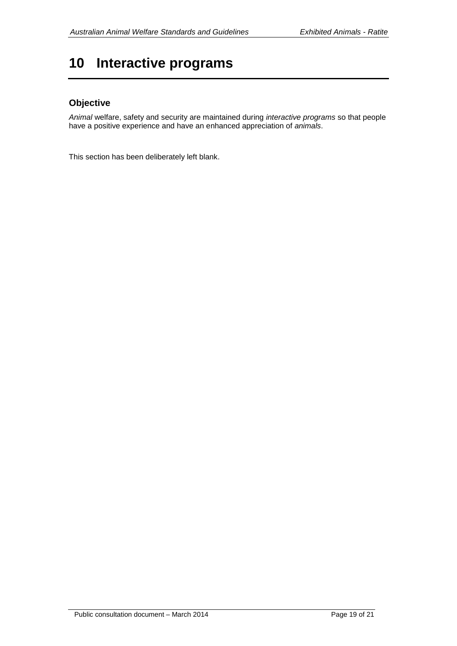# <span id="page-18-0"></span>**10 Interactive programs**

### **Objective**

*Animal* welfare, safety and security are maintained during *interactive programs* so that people have a positive experience and have an enhanced appreciation of *animals*.

This section has been deliberately left blank.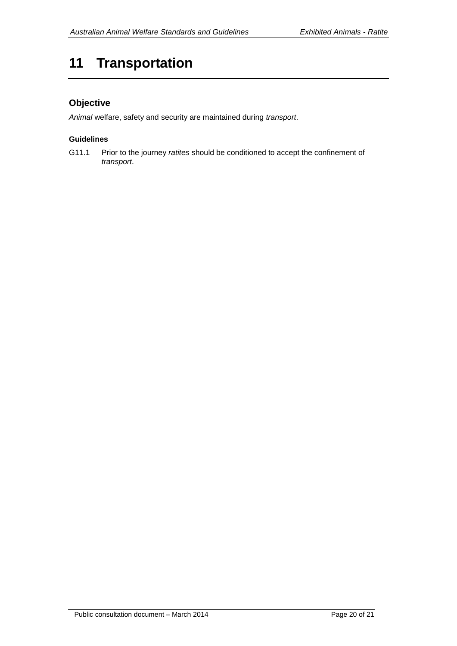# <span id="page-19-0"></span>**11 Transportation**

## **Objective**

*Animal* welfare, safety and security are maintained during *transport*.

#### **Guidelines**

G11.1 Prior to the journey *ratites* should be conditioned to accept the confinement of *transport*.